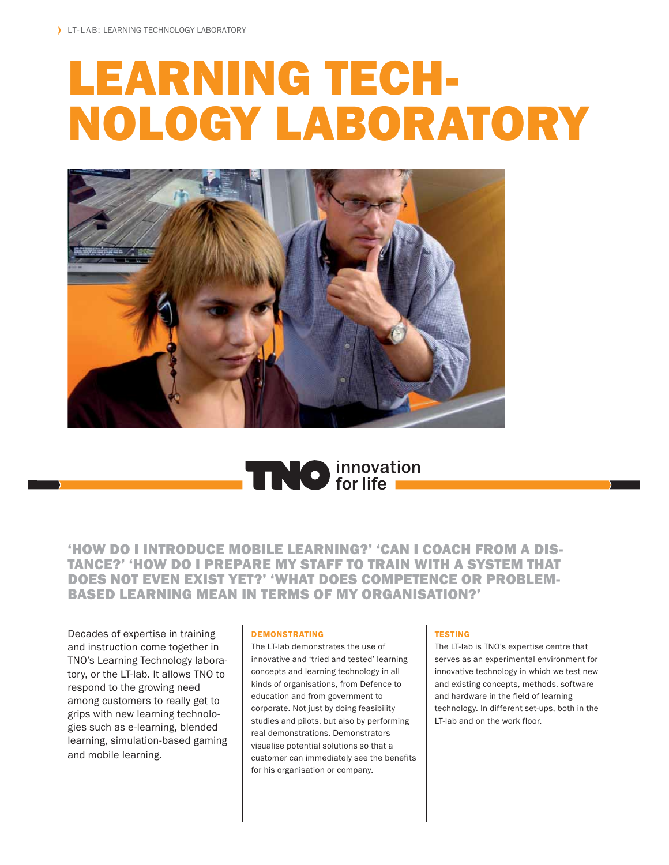# LEARNING TECH-NOLOGY LABORATORY





'HOW DO I INTRODUCE MOBILE LEARNING?' 'CAN I COACH FROM A DIS-TANCE?' 'HOW DO I PREPARE MY STAFF TO TRAIN WITH A SYSTEM THAT DOES NOT EVEN EXIST YET?' 'WHAT DOES COMPETENCE OR PROBLEM-BASED LEARNING MEAN IN TERMS OF MY ORGANISATION?'

Decades of expertise in training and instruction come together in TNO's Learning Technology laboratory, or the LT-lab. It allows TNO to respond to the growing need among customers to really get to grips with new learning technologies such as e-learning, blended learning, simulation-based gaming and mobile learning.

#### **DEMONSTRATING**

The LT-lab demonstrates the use of innovative and 'tried and tested' learning concepts and learning technology in all kinds of organisations, from Defence to education and from government to corporate. Not just by doing feasibility studies and pilots, but also by performing real demonstrations. Demonstrators visualise potential solutions so that a customer can immediately see the benefits for his organisation or company.

#### **TESTING**

The LT-lab is TNO's expertise centre that serves as an experimental environment for innovative technology in which we test new and existing concepts, methods, software and hardware in the field of learning technology. In different set-ups, both in the LT-lab and on the work floor.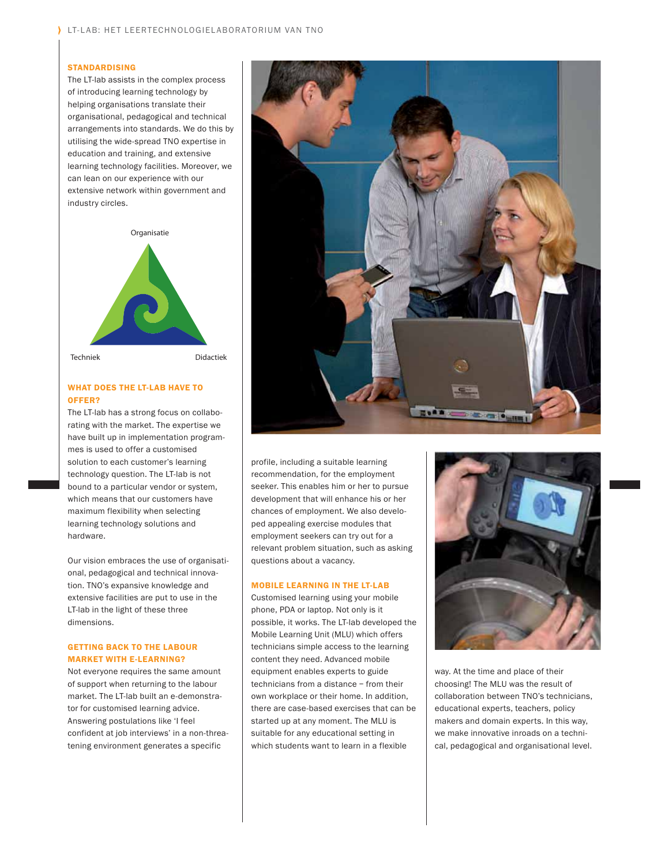#### STANDARDISING

The LT-lab assists in the complex process of introducing learning technology by helping organisations translate their organisational, pedagogical and technical arrangements into standards. We do this by utilising the wide-spread TNO expertise in education and training, and extensive learning technology facilities. Moreover, we can lean on our experience with our extensive network within government and industry circles.



### WHAT DOES THE LT-LAB HAVE TO OFFER?

The LT-lab has a strong focus on collaborating with the market. The expertise we have built up in implementation programmes is used to offer a customised solution to each customer's learning technology question. The LT-lab is not bound to a particular vendor or system, which means that our customers have maximum flexibility when selecting learning technology solutions and hardware.

Our vision embraces the use of organisational, pedagogical and technical innovation. TNO's expansive knowledge and extensive facilities are put to use in the LT-lab in the light of these three dimensions.

## GETTING BACK TO THE LABOUR MARKET WITH E-LEARNING?

Not everyone requires the same amount of support when returning to the labour market. The LT-lab built an e-demonstrator for customised learning advice. Answering postulations like 'I feel confident at job interviews' in a non-threatening environment generates a specific



profile, including a suitable learning recommendation, for the employment seeker. This enables him or her to pursue development that will enhance his or her chances of employment. We also developed appealing exercise modules that employment seekers can try out for a relevant problem situation, such as asking questions about a vacancy.

#### MOBILE LEARNING IN THE LT-LAB

Customised learning using your mobile phone, PDA or laptop. Not only is it possible, it works. The LT-lab developed the Mobile Learning Unit (MLU) which offers technicians simple access to the learning content they need. Advanced mobile equipment enables experts to guide technicians from a distance – from their own workplace or their home. In addition, there are case-based exercises that can be started up at any moment. The MLU is suitable for any educational setting in which students want to learn in a flexible



way. At the time and place of their choosing! The MLU was the result of collaboration between TNO's technicians, educational experts, teachers, policy makers and domain experts. In this way, we make innovative inroads on a technical, pedagogical and organisational level.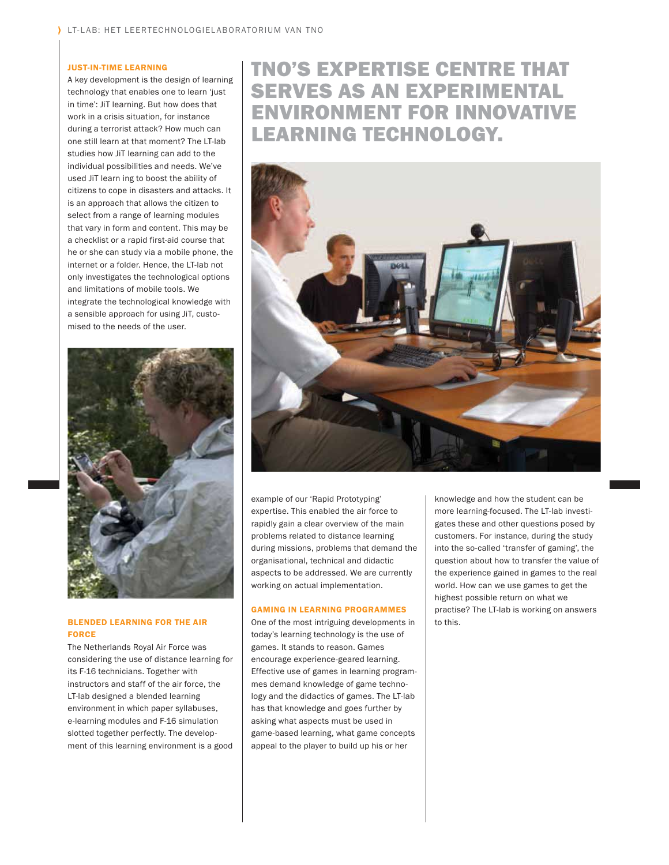#### JUST-IN-TIME LEARNING

A key development is the design of learning technology that enables one to learn 'just in time': JiT learning. But how does that work in a crisis situation, for instance during a terrorist attack? How much can one still learn at that moment? The LT-lab studies how JiT learning can add to the individual possibilities and needs. We've used JiT learn ing to boost the ability of citizens to cope in disasters and attacks. It is an approach that allows the citizen to select from a range of learning modules that vary in form and content. This may be a checklist or a rapid first-aid course that he or she can study via a mobile phone, the internet or a folder. Hence, the LT-lab not only investigates the technological options and limitations of mobile tools. We integrate the technological knowledge with a sensible approach for using JiT, customised to the needs of the user.



#### BLENDED LEARNING FOR THE AIR FORCE

The Netherlands Royal Air Force was considering the use of distance learning for its F-16 technicians. Together with instructors and staff of the air force, the LT-lab designed a blended learning environment in which paper syllabuses, e-learning modules and F-16 simulation slotted together perfectly. The development of this learning environment is a good

# TNO'S EXPERTISE CENTRE THAT SERVES AS AN EXPERIMENTAL ENVIRONMENT FOR INNOVATIVE LEARNING TECHNOLOGY.



example of our 'Rapid Prototyping' expertise. This enabled the air force to rapidly gain a clear overview of the main problems related to distance learning during missions, problems that demand the organisational, technical and didactic aspects to be addressed. We are currently working on actual implementation.

#### GAMING IN LEARNING PROGRAMMES

One of the most intriguing developments in today's learning technology is the use of games. It stands to reason. Games encourage experience-geared learning. Effective use of games in learning programmes demand knowledge of game technology and the didactics of games. The LT-lab has that knowledge and goes further by asking what aspects must be used in game-based learning, what game concepts appeal to the player to build up his or her

knowledge and how the student can be more learning-focused. The LT-lab investigates these and other questions posed by customers. For instance, during the study into the so-called 'transfer of gaming', the question about how to transfer the value of the experience gained in games to the real world. How can we use games to get the highest possible return on what we practise? The LT-lab is working on answers to this.